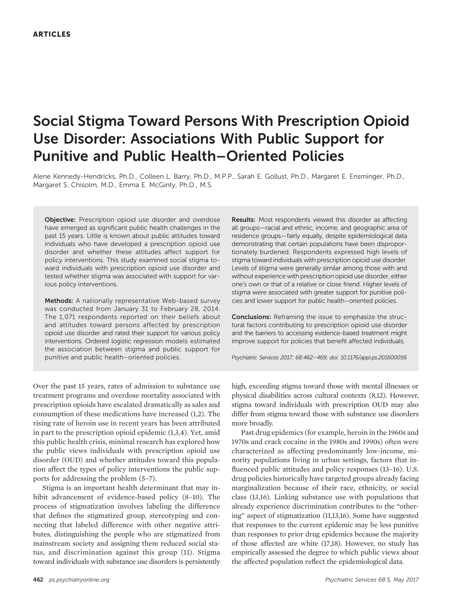# Social Stigma Toward Persons With Prescription Opioid Use Disorder: Associations With Public Support for Punitive and Public Health–Oriented Policies

Alene Kennedy-Hendricks, Ph.D., Colleen L. Barry, Ph.D., M.P.P., Sarah E. Gollust, Ph.D., Margaret E. Ensminger, Ph.D., Margaret S. Chisolm, M.D., Emma E. McGinty, Ph.D., M.S.

**Objective:** Prescription opioid use disorder and overdose have emerged as significant public health challenges in the past 15 years. Little is known about public attitudes toward individuals who have developed a prescription opioid use disorder and whether these attitudes affect support for policy interventions. This study examined social stigma toward individuals with prescription opioid use disorder and tested whether stigma was associated with support for various policy interventions.

Methods: A nationally representative Web-based survey was conducted from January 31 to February 28, 2014. The 1,071 respondents reported on their beliefs about and attitudes toward persons affected by prescription opioid use disorder and rated their support for various policy interventions. Ordered logistic regression models estimated the association between stigma and public support for punitive and public health–oriented policies.

Results: Most respondents viewed this disorder as affecting all groups—racial and ethnic, income, and geographic area of residence groups—fairly equally, despite epidemiological data demonstrating that certain populations have been disproportionately burdened. Respondents expressed high levels of stigma toward individuals with prescription opioid use disorder. Levels of stigma were generally similar among those with and without experience with prescription opioid use disorder, either one's own or that of a relative or close friend. Higher levels of stigma were associated with greater support for punitive policies and lower support for public health–oriented policies.

Conclusions: Reframing the issue to emphasize the structural factors contributing to prescription opioid use disorder and the barriers to accessing evidence-based treatment might improve support for policies that benefit affected individuals.

Psychiatric Services 2017; 68:462–469; doi: 10.1176/appi.ps.201600056

Over the past 15 years, rates of admission to substance use treatment programs and overdose mortality associated with prescription opioids have escalated dramatically as sales and consumption of these medications have increased (1,2). The rising rate of heroin use in recent years has been attributed in part to the prescription opioid epidemic (1,3,4). Yet, amid this public health crisis, minimal research has explored how the public views individuals with prescription opioid use disorder (OUD) and whether attitudes toward this population affect the types of policy interventions the public supports for addressing the problem (5–7).

Stigma is an important health determinant that may inhibit advancement of evidence-based policy (8–10). The process of stigmatization involves labeling the difference that defines the stigmatized group, stereotyping and connecting that labeled difference with other negative attributes, distinguishing the people who are stigmatized from mainstream society and assigning them reduced social status, and discrimination against this group (11). Stigma toward individuals with substance use disorders is persistently high, exceeding stigma toward those with mental illnesses or physical disabilities across cultural contexts (8,12). However, stigma toward individuals with prescription OUD may also differ from stigma toward those with substance use disorders more broadly.

Past drug epidemics (for example, heroin in the 1960s and 1970s and crack cocaine in the 1980s and 1990s) often were characterized as affecting predominantly low-income, minority populations living in urban settings, factors that influenced public attitudes and policy responses (13–16). U.S. drug policies historically have targeted groups already facing marginalization because of their race, ethnicity, or social class (13,16). Linking substance use with populations that already experience discrimination contributes to the "othering" aspect of stigmatization (11,13,16). Some have suggested that responses to the current epidemic may be less punitive than responses to prior drug epidemics because the majority of those affected are white (17,18). However, no study has empirically assessed the degree to which public views about the affected population reflect the epidemiological data.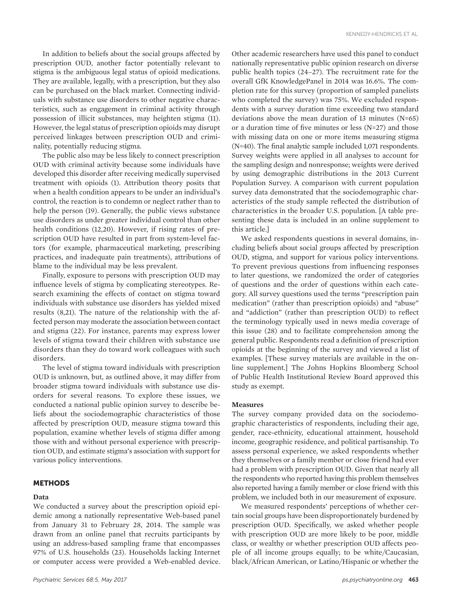In addition to beliefs about the social groups affected by prescription OUD, another factor potentially relevant to stigma is the ambiguous legal status of opioid medications. They are available, legally, with a prescription, but they also can be purchased on the black market. Connecting individuals with substance use disorders to other negative characteristics, such as engagement in criminal activity through possession of illicit substances, may heighten stigma (11). However, the legal status of prescription opioids may disrupt perceived linkages between prescription OUD and criminality, potentially reducing stigma.

The public also may be less likely to connect prescription OUD with criminal activity because some individuals have developed this disorder after receiving medically supervised treatment with opioids (1). Attribution theory posits that when a health condition appears to be under an individual's control, the reaction is to condemn or neglect rather than to help the person (19). Generally, the public views substance use disorders as under greater individual control than other health conditions (12,20). However, if rising rates of prescription OUD have resulted in part from system-level factors (for example, pharmaceutical marketing, prescribing practices, and inadequate pain treatments), attributions of blame to the individual may be less prevalent.

Finally, exposure to persons with prescription OUD may influence levels of stigma by complicating stereotypes. Research examining the effects of contact on stigma toward individuals with substance use disorders has yielded mixed results (8,21). The nature of the relationship with the affected person may moderate the association between contact and stigma (22). For instance, parents may express lower levels of stigma toward their children with substance use disorders than they do toward work colleagues with such disorders.

The level of stigma toward individuals with prescription OUD is unknown, but, as outlined above, it may differ from broader stigma toward individuals with substance use disorders for several reasons. To explore these issues, we conducted a national public opinion survey to describe beliefs about the sociodemographic characteristics of those affected by prescription OUD, measure stigma toward this population, examine whether levels of stigma differ among those with and without personal experience with prescription OUD, and estimate stigma's association with support for various policy interventions.

## **METHODS**

#### Data

We conducted a survey about the prescription opioid epidemic among a nationally representative Web-based panel from January 31 to February 28, 2014. The sample was drawn from an online panel that recruits participants by using an address-based sampling frame that encompasses 97% of U.S. households (23). Households lacking Internet or computer access were provided a Web-enabled device.

Other academic researchers have used this panel to conduct nationally representative public opinion research on diverse public health topics (24–27). The recruitment rate for the overall GfK KnowledgePanel in 2014 was 16.6%. The completion rate for this survey (proportion of sampled panelists who completed the survey) was 75%. We excluded respondents with a survey duration time exceeding two standard deviations above the mean duration of 13 minutes (N=65) or a duration time of five minutes or less (N=27) and those with missing data on one or more items measuring stigma (N=40). The final analytic sample included 1,071 respondents. Survey weights were applied in all analyses to account for the sampling design and nonresponse; weights were derived by using demographic distributions in the 2013 Current Population Survey. A comparison with current population survey data demonstrated that the sociodemographic characteristics of the study sample reflected the distribution of characteristics in the broader U.S. population. [A table presenting these data is included in an online supplement to this article.]

We asked respondents questions in several domains, including beliefs about social groups affected by prescription OUD, stigma, and support for various policy interventions. To prevent previous questions from influencing responses to later questions, we randomized the order of categories of questions and the order of questions within each category. All survey questions used the terms "prescription pain medication" (rather than prescription opioids) and "abuse" and "addiction" (rather than prescription OUD) to reflect the terminology typically used in news media coverage of this issue (28) and to facilitate comprehension among the general public. Respondents read a definition of prescription opioids at the beginning of the survey and viewed a list of examples. [These survey materials are available in the online supplement.] The Johns Hopkins Bloomberg School of Public Health Institutional Review Board approved this study as exempt.

## Measures

The survey company provided data on the sociodemographic characteristics of respondents, including their age, gender, race-ethnicity, educational attainment, household income, geographic residence, and political partisanship. To assess personal experience, we asked respondents whether they themselves or a family member or close friend had ever had a problem with prescription OUD. Given that nearly all the respondents who reported having this problem themselves also reported having a family member or close friend with this problem, we included both in our measurement of exposure.

We measured respondents' perceptions of whether certain social groups have been disproportionately burdened by prescription OUD. Specifically, we asked whether people with prescription OUD are more likely to be poor, middle class, or wealthy or whether prescription OUD affects people of all income groups equally; to be white/Caucasian, black/African American, or Latino/Hispanic or whether the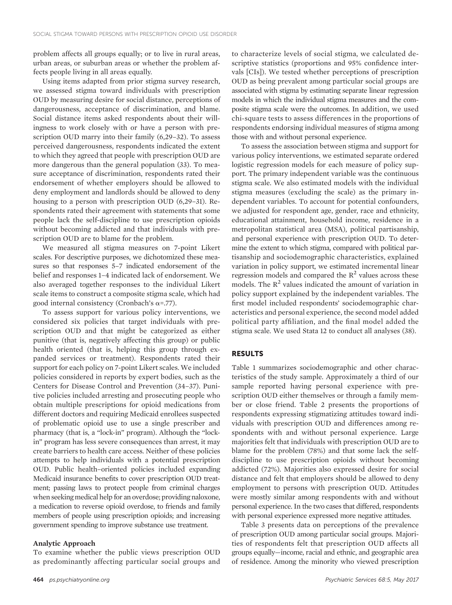problem affects all groups equally; or to live in rural areas, urban areas, or suburban areas or whether the problem affects people living in all areas equally.

Using items adapted from prior stigma survey research, we assessed stigma toward individuals with prescription OUD by measuring desire for social distance, perceptions of dangerousness, acceptance of discrimination, and blame. Social distance items asked respondents about their willingness to work closely with or have a person with prescription OUD marry into their family (6,29–32). To assess perceived dangerousness, respondents indicated the extent to which they agreed that people with prescription OUD are more dangerous than the general population (33). To measure acceptance of discrimination, respondents rated their endorsement of whether employers should be allowed to deny employment and landlords should be allowed to deny housing to a person with prescription OUD (6,29–31). Respondents rated their agreement with statements that some people lack the self-discipline to use prescription opioids without becoming addicted and that individuals with prescription OUD are to blame for the problem.

We measured all stigma measures on 7-point Likert scales. For descriptive purposes, we dichotomized these measures so that responses 5–7 indicated endorsement of the belief and responses 1–4 indicated lack of endorsement. We also averaged together responses to the individual Likert scale items to construct a composite stigma scale, which had good internal consistency (Cronbach's  $\alpha$ =.77).

To assess support for various policy interventions, we considered six policies that target individuals with prescription OUD and that might be categorized as either punitive (that is, negatively affecting this group) or public health oriented (that is, helping this group through expanded services or treatment). Respondents rated their support for each policy on 7-point Likert scales. We included policies considered in reports by expert bodies, such as the Centers for Disease Control and Prevention (34–37). Punitive policies included arresting and prosecuting people who obtain multiple prescriptions for opioid medications from different doctors and requiring Medicaid enrollees suspected of problematic opioid use to use a single prescriber and pharmacy (that is, a "lock-in" program). Although the "lockin" program has less severe consequences than arrest, it may create barriers to health care access. Neither of these policies attempts to help individuals with a potential prescription OUD. Public health–oriented policies included expanding Medicaid insurance benefits to cover prescription OUD treatment; passing laws to protect people from criminal charges when seeking medical help for an overdose; providing naloxone, a medication to reverse opioid overdose, to friends and family members of people using prescription opioids; and increasing government spending to improve substance use treatment.

## Analytic Approach

To examine whether the public views prescription OUD as predominantly affecting particular social groups and

to characterize levels of social stigma, we calculated descriptive statistics (proportions and 95% confidence intervals [CIs]). We tested whether perceptions of prescription OUD as being prevalent among particular social groups are associated with stigma by estimating separate linear regression models in which the individual stigma measures and the composite stigma scale were the outcomes. In addition, we used chi-square tests to assess differences in the proportions of respondents endorsing individual measures of stigma among those with and without personal experience.

To assess the association between stigma and support for various policy interventions, we estimated separate ordered logistic regression models for each measure of policy support. The primary independent variable was the continuous stigma scale. We also estimated models with the individual stigma measures (excluding the scale) as the primary independent variables. To account for potential confounders, we adjusted for respondent age, gender, race and ethnicity, educational attainment, household income, residence in a metropolitan statistical area (MSA), political partisanship, and personal experience with prescription OUD. To determine the extent to which stigma, compared with political partisanship and sociodemographic characteristics, explained variation in policy support, we estimated incremental linear regression models and compared the  $R^2$  values across these models. The  $R<sup>2</sup>$  values indicated the amount of variation in policy support explained by the independent variables. The first model included respondents' sociodemographic characteristics and personal experience, the second model added political party affiliation, and the final model added the stigma scale. We used Stata 12 to conduct all analyses (38).

# RESULTS

Table 1 summarizes sociodemographic and other characteristics of the study sample. Approximately a third of our sample reported having personal experience with prescription OUD either themselves or through a family member or close friend. Table 2 presents the proportions of respondents expressing stigmatizing attitudes toward individuals with prescription OUD and differences among respondents with and without personal experience. Large majorities felt that individuals with prescription OUD are to blame for the problem (78%) and that some lack the selfdiscipline to use prescription opioids without becoming addicted (72%). Majorities also expressed desire for social distance and felt that employers should be allowed to deny employment to persons with prescription OUD. Attitudes were mostly similar among respondents with and without personal experience. In the two cases that differed, respondents with personal experience expressed more negative attitudes.

Table 3 presents data on perceptions of the prevalence of prescription OUD among particular social groups. Majorities of respondents felt that prescription OUD affects all groups equally—income, racial and ethnic, and geographic area of residence. Among the minority who viewed prescription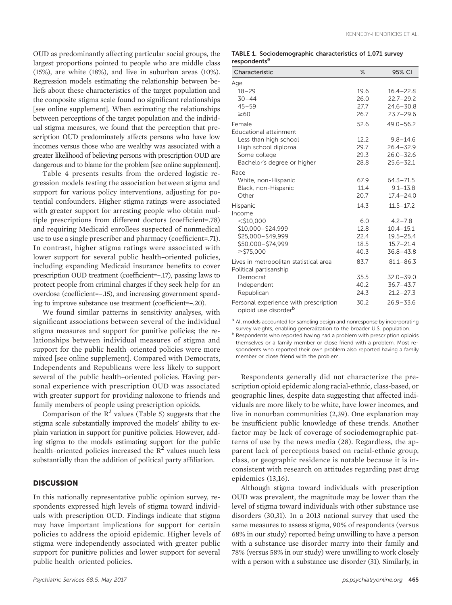OUD as predominantly affecting particular social groups, the largest proportions pointed to people who are middle class (15%), are white (18%), and live in suburban areas (10%). Regression models estimating the relationship between beliefs about these characteristics of the target population and the composite stigma scale found no significant relationships [see online supplement]. When estimating the relationships between perceptions of the target population and the individual stigma measures, we found that the perception that prescription OUD predominately affects persons who have low incomes versus those who are wealthy was associated with a greater likelihood of believing persons with prescription OUD are dangerous and to blame for the problem [see online supplement].

Table 4 presents results from the ordered logistic regression models testing the association between stigma and support for various policy interventions, adjusting for potential confounders. Higher stigma ratings were associated with greater support for arresting people who obtain multiple prescriptions from different doctors (coefficient=.78) and requiring Medicaid enrollees suspected of nonmedical use to use a single prescriber and pharmacy (coefficient=.71). In contrast, higher stigma ratings were associated with lower support for several public health–oriented policies, including expanding Medicaid insurance benefits to cover prescription OUD treatment (coefficient=–.17), passing laws to protect people from criminal charges if they seek help for an overdose (coefficient=–.15), and increasing government spending to improve substance use treatment (coefficient=–.20).

We found similar patterns in sensitivity analyses, with significant associations between several of the individual stigma measures and support for punitive policies; the relationships between individual measures of stigma and support for the public health–oriented policies were more mixed [see online supplement]. Compared with Democrats, Independents and Republicans were less likely to support several of the public health–oriented policies. Having personal experience with prescription OUD was associated with greater support for providing naloxone to friends and family members of people using prescription opioids.

Comparison of the  $R^2$  values (Table 5) suggests that the stigma scale substantially improved the models' ability to explain variation in support for punitive policies. However, adding stigma to the models estimating support for the public health–oriented policies increased the  $R^2$  values much less substantially than the addition of political party affiliation.

# **DISCUSSION**

In this nationally representative public opinion survey, respondents expressed high levels of stigma toward individuals with prescription OUD. Findings indicate that stigma may have important implications for support for certain policies to address the opioid epidemic. Higher levels of stigma were independently associated with greater public support for punitive policies and lower support for several public health–oriented policies.

|                          | TABLE 1. Sociodemographic characteristics of 1,071 survey |  |  |
|--------------------------|-----------------------------------------------------------|--|--|
| respondents <sup>a</sup> |                                                           |  |  |

| Characteristic                                                            | $\%$ | 95% CI        |
|---------------------------------------------------------------------------|------|---------------|
| Age                                                                       |      |               |
| $18 - 29$                                                                 | 19.6 | $16.4 - 22.8$ |
| $30 - 44$                                                                 | 26.0 | $22.7 - 29.2$ |
| $45 - 59$                                                                 | 27.7 | $24.6 - 30.8$ |
| $\geq 60$                                                                 | 26.7 | $23.7 - 29.6$ |
| Female                                                                    | 52.6 | $49.0 - 56.2$ |
| Educational attainment                                                    |      |               |
| Less than high school                                                     | 12.2 | $9.8 - 14.6$  |
| High school diploma                                                       | 29.7 | $26.4 - 32.9$ |
| Some college                                                              | 29.3 | $26.0 - 32.6$ |
| Bachelor's degree or higher                                               | 28.8 | $25.6 - 32.1$ |
| Race                                                                      |      |               |
| White, non-Hispanic                                                       | 67.9 | $64.3 - 71.5$ |
| Black, non-Hispanic                                                       | 11.4 | $9.1 - 13.8$  |
| Other                                                                     | 20.7 | $17.4 - 24.0$ |
| Hispanic                                                                  | 14.3 | $11.5 - 17.2$ |
| Income                                                                    |      |               |
| $<$ \$10,000                                                              | 6.0  | $4.2 - 7.8$   |
| \$10,000-\$24,999                                                         | 12.8 | $10.4 - 15.1$ |
| \$25,000-\$49,999                                                         | 22.4 | $19.5 - 25.4$ |
| \$50,000-\$74,999                                                         | 18.5 | $15.7 - 21.4$ |
| $\ge$ \$75.000                                                            | 40.3 | $36.8 - 43.8$ |
| Lives in metropolitan statistical area                                    | 83.7 | $81.1 - 86.3$ |
| Political partisanship                                                    |      |               |
| Democrat                                                                  | 35.5 | $32.0 - 39.0$ |
| Independent                                                               | 40.2 | $36.7 - 43.7$ |
| Republican                                                                | 24.3 | $21.2 - 27.3$ |
| Personal experience with prescription<br>opioid use disorder <sup>b</sup> | 30.2 | $26.9 - 33.6$ |

<sup>a</sup> All models accounted for sampling design and nonresponse by incorporating survey weights, enabling generalization to the broader U.S. population.

<sup>b</sup> Respondents who reported having had a problem with prescription opioids themselves or a family member or close friend with a problem. Most respondents who reported their own problem also reported having a family member or close friend with the problem.

Respondents generally did not characterize the prescription opioid epidemic along racial-ethnic, class-based, or geographic lines, despite data suggesting that affected individuals are more likely to be white, have lower incomes, and live in nonurban communities (2,39). One explanation may be insufficient public knowledge of these trends. Another factor may be lack of coverage of sociodemographic patterns of use by the news media (28). Regardless, the apparent lack of perceptions based on racial-ethnic group, class, or geographic residence is notable because it is inconsistent with research on attitudes regarding past drug epidemics (13,16).

Although stigma toward individuals with prescription OUD was prevalent, the magnitude may be lower than the level of stigma toward individuals with other substance use disorders (30,31). In a 2013 national survey that used the same measures to assess stigma, 90% of respondents (versus 68% in our study) reported being unwilling to have a person with a substance use disorder marry into their family and 78% (versus 58% in our study) were unwilling to work closely with a person with a substance use disorder (31). Similarly, in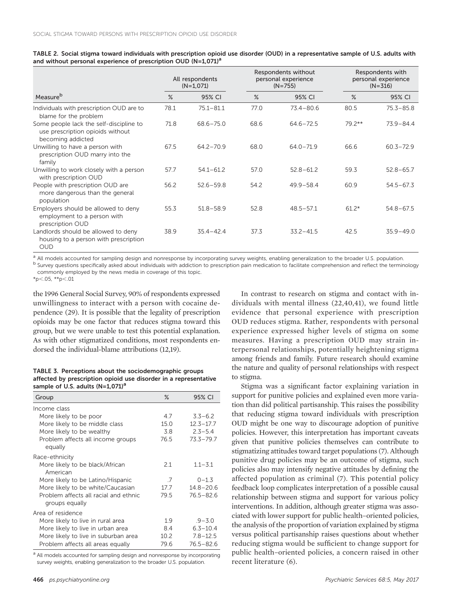|                                                                                                  |      | All respondents<br>$(N=1,071)$ |      | Respondents without<br>personal experience<br>$(N=755)$ |          | Respondents with<br>personal experience<br>$(N=316)$ |  |  |
|--------------------------------------------------------------------------------------------------|------|--------------------------------|------|---------------------------------------------------------|----------|------------------------------------------------------|--|--|
| Measure <sup>b</sup>                                                                             | $\%$ | 95% CI                         | $\%$ | 95% CI                                                  | $\%$     | 95% CI                                               |  |  |
| Individuals with prescription OUD are to<br>blame for the problem                                | 78.1 | $75.1 - 81.1$                  | 77.0 | $73.4 - 80.6$                                           | 80.5     | $75.3 - 85.8$                                        |  |  |
| Some people lack the self-discipline to<br>use prescription opioids without<br>becoming addicted | 71.8 | $68.6 - 75.0$                  | 68.6 | $64.6 - 72.5$                                           | $79.2**$ | $73.9 - 84.4$                                        |  |  |
| Unwilling to have a person with<br>prescription OUD marry into the<br>family                     | 67.5 | $64.2 - 70.9$                  | 68.0 | $64.0 - 71.9$                                           | 66.6     | $60.3 - 72.9$                                        |  |  |
| Unwilling to work closely with a person<br>with prescription OUD                                 | 57.7 | $54.1 - 61.2$                  | 57.0 | $52.8 - 61.2$                                           | 59.3     | $52.8 - 65.7$                                        |  |  |
| People with prescription OUD are<br>more dangerous than the general<br>population                | 56.2 | $52.6 - 59.8$                  | 54.2 | $49.9 - 58.4$                                           | 60.9     | $54.5 - 67.3$                                        |  |  |
| Employers should be allowed to deny<br>employment to a person with<br>prescription OUD           | 55.3 | $51.8 - 58.9$                  | 52.8 | $48.5 - 57.1$                                           | $61.2*$  | $54.8 - 67.5$                                        |  |  |
| Landlords should be allowed to deny<br>housing to a person with prescription<br><b>OUD</b>       | 38.9 | $35.4 - 42.4$                  | 37.3 | $33.2 - 41.5$                                           | 42.5     | $35.9 - 49.0$                                        |  |  |

TABLE 2. Social stigma toward individuals with prescription opioid use disorder (OUD) in a representative sample of U.S. adults with and without personal experience of prescription OUD (N=1,071)<sup>a</sup>

a All models accounted for sampling design and nonresponse by incorporating survey weights, enabling generalization to the broader U.S. population.

<sup>b</sup> Survey questions specifically asked about individuals with addiction to prescription pain medication to facilitate comprehension and reflect the terminology commonly employed by the news media in coverage of this topic.

 $*p<.05$ ,  $*p<.01$ 

the 1996 General Social Survey, 90% of respondents expressed unwillingness to interact with a person with cocaine dependence (29). It is possible that the legality of prescription opioids may be one factor that reduces stigma toward this group, but we were unable to test this potential explanation. As with other stigmatized conditions, most respondents endorsed the individual-blame attributions (12,19).

TABLE 3. Perceptions about the sociodemographic groups affected by prescription opioid use disorder in a representative sample of U.S. adults  $(N=1,071)^a$ 

| Group                                                   | ℅    | 95% CI        |
|---------------------------------------------------------|------|---------------|
| Income class                                            |      |               |
| More likely to be poor                                  | 4.7  | $3.3 - 6.2$   |
| More likely to be middle class                          | 15.0 | $12.3 - 17.7$ |
| More likely to be wealthy                               | 3.8  | $2.3 - 5.4$   |
| Problem affects all income groups<br>equally            | 76.5 | $73.3 - 79.7$ |
| Race-ethnicity                                          |      |               |
| More likely to be black/African<br>American             | 2.1  | $1.1 - 3.1$   |
| More likely to be Latino/Hispanic                       | .7   | $0 - 1.3$     |
| More likely to be white/Caucasian                       | 17.7 | $14.8 - 20.6$ |
| Problem affects all racial and ethnic<br>groups equally | 79.5 | $76.5 - 82.6$ |
| Area of residence                                       |      |               |
| More likely to live in rural area                       | 1.9  | $-5.0$        |
| More likely to live in urban area                       | 8.4  | $6.3 - 10.4$  |
| More likely to live in suburban area                    | 10.2 | $7.8 - 12.5$  |
| Problem affects all areas equally                       | 79.6 | $76.5 - 82.6$ |

<sup>a</sup> All models accounted for sampling design and nonresponse by incorporating survey weights, enabling generalization to the broader U.S. population.

In contrast to research on stigma and contact with individuals with mental illness (22,40,41), we found little evidence that personal experience with prescription OUD reduces stigma. Rather, respondents with personal experience expressed higher levels of stigma on some measures. Having a prescription OUD may strain interpersonal relationships, potentially heightening stigma among friends and family. Future research should examine the nature and quality of personal relationships with respect to stigma.

Stigma was a significant factor explaining variation in support for punitive policies and explained even more variation than did political partisanship. This raises the possibility that reducing stigma toward individuals with prescription OUD might be one way to discourage adoption of punitive policies. However, this interpretation has important caveats given that punitive policies themselves can contribute to stigmatizing attitudes toward target populations (7). Although punitive drug policies may be an outcome of stigma, such policies also may intensify negative attitudes by defining the affected population as criminal (7). This potential policy feedback loop complicates interpretation of a possible causal relationship between stigma and support for various policy interventions. In addition, although greater stigma was associated with lower support for public health–oriented policies, the analysis of the proportion of variation explained by stigma versus political partisanship raises questions about whether reducing stigma would be sufficient to change support for public health–oriented policies, a concern raised in other recent literature (6).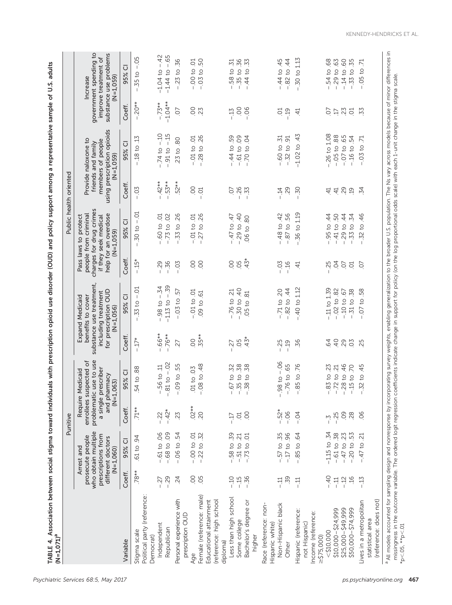| $\frac{1}{2}$                                     |        |
|---------------------------------------------------|--------|
| ֧֚֓֝֬<br>֧֚֚֚֝                                    |        |
| $\ddot{\phantom{a}}$                              |        |
|                                                   |        |
|                                                   |        |
| <b>MON C MOUVER</b>                               |        |
|                                                   |        |
|                                                   |        |
|                                                   |        |
|                                                   |        |
| Any (OLID) and policy cur-                        |        |
|                                                   |        |
| ۔<br>د                                            |        |
| $\ddot{\cdot}$<br>i                               |        |
| $\ddot{\phantom{a}}$                              |        |
|                                                   |        |
|                                                   |        |
| ;<br>;<br>;<br>;<br>;<br>:<br>;<br>$\ddot{\cdot}$ |        |
| Ā<br>₹                                            |        |
|                                                   |        |
|                                                   |        |
|                                                   |        |
|                                                   |        |
|                                                   |        |
|                                                   |        |
|                                                   |        |
| l                                                 | ֕      |
|                                                   | I<br>ļ |

|                                                                                                                                      |                 |                                                                                                                 | Punitive                |                                                                                                                    |                       |                                                                                                                              |                                  |                                                                                                                                        | Public health oriented |                                                                                                                                                                                                                                                                                      |                      |                                                                                                     |
|--------------------------------------------------------------------------------------------------------------------------------------|-----------------|-----------------------------------------------------------------------------------------------------------------|-------------------------|--------------------------------------------------------------------------------------------------------------------|-----------------------|------------------------------------------------------------------------------------------------------------------------------|----------------------------------|----------------------------------------------------------------------------------------------------------------------------------------|------------------------|--------------------------------------------------------------------------------------------------------------------------------------------------------------------------------------------------------------------------------------------------------------------------------------|----------------------|-----------------------------------------------------------------------------------------------------|
|                                                                                                                                      |                 | who obtain multiple<br>prescriptions from<br>prosecute people<br>different doctors<br>Arrest and<br>$(N=1,060)$ | enrollees               | problematic use to use<br>ð<br>suspected<br>a single prescriber<br>Require Medicaid<br>and pharmacy<br>$(N=1,063)$ |                       | substance use treatment,<br>for prescription OUD<br>including treatment<br>benefits to cover<br>Expand Medicaid<br>$N=1,056$ |                                  | charges for drug crimes<br>help for an overdose<br>people from criminal<br>Pass laws to protect<br>if they seek medical<br>$(N=1,059)$ |                        | using prescription opioids<br>Provide naloxone to<br>members of people<br>friends and family<br>$N=1,059$                                                                                                                                                                            |                      | government spending to<br>substance use problems<br>improve treatment of<br>$(N=1,059)$<br>Increase |
| Variable                                                                                                                             | Coeff.          | 95% CI                                                                                                          | Coeff.                  | $\overline{\cup}$<br>95%                                                                                           | Coeff.                | $\overline{\cup}$<br>95%                                                                                                     | Coeff.                           | $\overline{\circ}$<br>95%                                                                                                              | Coeff.                 | $\overline{\circ}$<br>95%                                                                                                                                                                                                                                                            | Coeff.               | $\overline{\cup}$<br>95%                                                                            |
| Political party (reference<br>Stigma scale<br>Democrat)                                                                              | $.78**$         | $\ddot{9}$<br>$-61$ to                                                                                          | $.71**$                 | 88.<br>$\overline{c}$<br>54                                                                                        | $-17*$                | $.33$ to $-.01$<br>$\mathbf{I}$                                                                                              | $-15*$                           | $.30 \text{ to } -01$<br>$\mathbf{I}$                                                                                                  | $-0.5$                 | $\ddot{1}$<br>$-.18$ to                                                                                                                                                                                                                                                              | $-20**$              | $-0.5$<br>$.35$ to<br>$\mathbf{I}$                                                                  |
| Independent<br>Republican                                                                                                            | $-29$<br>$-27$  | $-68$ to $.09$<br>$-0.01$ to $.06$                                                                              | $-42*$<br>$-22$         | $81$ to $-.02$<br>56 to .11                                                                                        | $-66**$<br>$-.76**$   | $-1.13$ to $-.39$<br>$-0.98$ to $-0.34$                                                                                      | $-36$<br>$-29$                   | $-73$ to .02<br>$-0.60$ to $.01$                                                                                                       | $-.42**$<br>$-.53**$   | $-10$<br>$-0.91$ to $-15$<br>$-74$ to                                                                                                                                                                                                                                                | $-1.04**$<br>$-73**$ | $-1.44$ to $-.65$<br>$-42$<br>$-1.04$ to                                                            |
| Personal experience with<br>prescription OUD                                                                                         | $\overline{24}$ | $-06$ to $.54$                                                                                                  | 23                      | $-0.09$ to $.55$                                                                                                   | 27                    | 57<br>$-0.03$ to                                                                                                             | $-03$                            | 26<br>$-33$ to                                                                                                                         | $.52**$                | 23 to .80                                                                                                                                                                                                                                                                            | $\overline{O}$       | $-23$ to $.36$                                                                                      |
| Age                                                                                                                                  |                 | $-00$ to $01$                                                                                                   | $.02**$                 | 01 to .03                                                                                                          | $\overline{O}$        | $-01$ to $01$                                                                                                                | OO.                              | S<br>$-01$ to                                                                                                                          | OO.                    | S.<br>$-0.01$ to                                                                                                                                                                                                                                                                     |                      | $\sum_{i=1}^{n}$<br>$-0.001$                                                                        |
| -emale (reference: male)<br>Educational attainment<br>reference: high school<br>diploma)                                             | 8 p             | $-22$ to $.32$                                                                                                  | 20                      | $-08$ to $.48$                                                                                                     | $35**$                | $\ddot{\circ}$<br>09 to                                                                                                      | $\overline{O}$                   | 26<br>$\overline{c}$<br>$-27$                                                                                                          | $-0.1$                 | 26<br>$-28$ to                                                                                                                                                                                                                                                                       | $rac{25}{25}$        | 50<br>$-03$ to                                                                                      |
| Less than high school                                                                                                                | $-10$           | $-58$ to $.39$<br>$-51$ to $.21$                                                                                | S.<br>$-17$             | <b>22</b><br>58<br>$-67$ to                                                                                        | 27                    | $-30$ to $.40$<br>$-76$ to $.21$                                                                                             | 00<br>0.5                        | $-29$ to $.40$<br>$-47$ to $47$                                                                                                        | S                      | 59<br>09<br>$-44$ to<br>$-0.61$ to                                                                                                                                                                                                                                                   | $-15$                | 36<br>$\overline{51}$<br>$-58$ to                                                                   |
| Bachelor's degree or<br>Some college<br>higher                                                                                       | $-36$<br>$-15$  | $-0.73$ to $01$                                                                                                 | OO.                     | .38<br>$-35$ to<br>.38 <sub>to</sub>                                                                               | $43*$<br>0.5          | 05 to .81                                                                                                                    | $43*$                            | 06 to 80                                                                                                                               | $-26$<br>$-33$         | $\overline{5}$<br>$-70$ to                                                                                                                                                                                                                                                           | OO.<br>$-06$         | 52.<br>$-0.35$ to<br>$-.44$ to                                                                      |
| Race (reference: non-<br>Non-Hispanic black<br>Hispanic white)                                                                       | $-11$           | $-57$ to $.35$                                                                                                  | $-52*$                  | $98$ to $-06$<br>$\mathbf{I}$                                                                                      | $-25$                 | $-0.71$ to $0.20$                                                                                                            | $-0.5$                           | $-48$ to $.42$                                                                                                                         | $-14$                  | $-.60$ to $.31$                                                                                                                                                                                                                                                                      | 5.                   | $-44$ to $.45$                                                                                      |
| Other                                                                                                                                | 59              | $-17$ to $.96$                                                                                                  | $-0.06$                 | $-76$ to .65                                                                                                       | $-19$                 | $-82$ to $.44$                                                                                                               | $-16$                            | $-87$ to $.56$                                                                                                                         | 29                     | $-32$ to $.91$                                                                                                                                                                                                                                                                       | $-19$                | $-82$ to $.44$                                                                                      |
| Hispanic (reference:<br>Income (reference:<br>not Hispanic)<br>$=$ \$75,000)                                                         | -<br>그          | .85 to .64                                                                                                      | $-0.4$                  | .76<br>.85 to                                                                                                      | 36                    | $-40$ to $1.12$                                                                                                              | $\dot{4}$                        | 36 to 1.19                                                                                                                             | $-30$                  | 45<br>$-1.02$ to                                                                                                                                                                                                                                                                     | $\overline{41}$      | $-0.30$ to 1.13                                                                                     |
| $<$ \$10,000                                                                                                                         | $-40$           | $-1.15$ to .34                                                                                                  | Ņ                       | .23<br>$-0.83$ to                                                                                                  | 64                    | $-.11$ to $1.39$                                                                                                             | 25                               | $\overline{4}$<br>$-0.95$ to                                                                                                           | $\overline{4}$         | $-26$ to $1.08$                                                                                                                                                                                                                                                                      | 5Ò                   | 68<br>$-0.54$ to                                                                                    |
| \$25,000-\$49,999<br>\$10,000-\$24,999                                                                                               | $-12$<br>$-11$  | $-0.61$ to $.38$<br>$-47$ to .23                                                                                | $\overline{0}$<br>$-25$ | $\ddot{c}$<br>$-0.72$ to<br>$-28$ to                                                                               | $\overline{40}$<br>29 | $-02$ to $.82$<br>Ğ.<br>$-10$ to                                                                                             | 0 <sub>4</sub><br>O <sub>.</sub> | 50<br>$\overline{4}$<br>$-41$ to<br>$-29$ to                                                                                           | 29<br>$\ddot{=}$       | $-0.05$ to $.88$<br>65<br>$-07$ to                                                                                                                                                                                                                                                   | $\overline{17}$      | .63<br>GO<br>$-29$ to                                                                               |
| \$50,000-\$74,999                                                                                                                    | $\overline{5}$  | $-20$ to $.53$                                                                                                  | 28                      | 46<br>P.<br>$-15$ to                                                                                               | 03                    | 38<br>$-31$ to                                                                                                               | $\overline{O}$                   | 34<br>$-33$ to                                                                                                                         | $\overline{5}$         | $\ddot{5}$<br>$-16$ to                                                                                                                                                                                                                                                               | 23                   | .35<br>$-33$ to<br>$-.14$ to                                                                        |
| ives in a metropolitan                                                                                                               | $-15$           | $\tilde{c}$<br>$-47$ to                                                                                         | $\overline{0}$          | $-45$<br>$\overline{c}$<br>32.                                                                                     | 25                    | 58.<br>$-0.07$ to                                                                                                            | 5O                               | $\frac{46}{5}$<br>$\overline{c}$<br>$-32$                                                                                              | $\dot{z}$              | $\overline{C}$<br>$-0.03$ to                                                                                                                                                                                                                                                         | 53                   | $\overline{C}$<br>$-0.05$ to                                                                        |
| (reference: does not)<br>statistical area                                                                                            |                 |                                                                                                                 |                         |                                                                                                                    |                       |                                                                                                                              |                                  |                                                                                                                                        |                        |                                                                                                                                                                                                                                                                                      |                      |                                                                                                     |
| All models accounted for sampling design and nonresponse by inc<br>missingness in the outcome variable. The ordered logit regression |                 |                                                                                                                 |                         |                                                                                                                    |                       |                                                                                                                              |                                  |                                                                                                                                        |                        | corporating survey weights, enabling generalization to the broader U.S. population. The Ns vary across models because of minor differences in<br>coefficients indicate change in support for policy (on the log proportional odds scale) with each 1-unit change in the stigma scale |                      |                                                                                                     |

\*p ,.05, \*\*p

,.01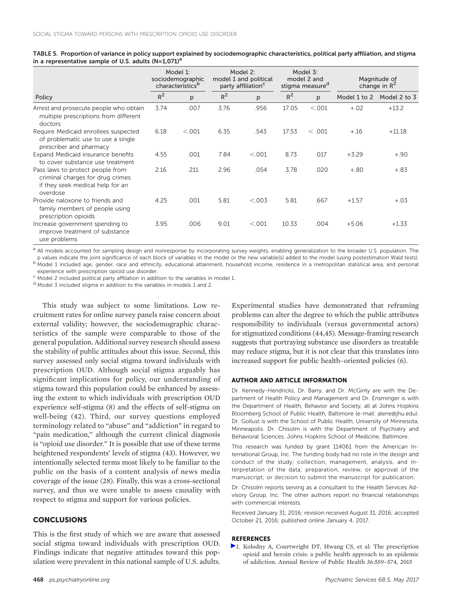|                                                                                                                      | Model 1:<br>sociodemographic<br>characteristics <sup>b</sup> |        |       | Model 2:<br>model 1 and political<br>party affiliation <sup>c</sup> |       | Model 3:<br>model 2 and<br>stigma measure <sup>d</sup> | Magnitude of<br>change in $R^2$ |              |
|----------------------------------------------------------------------------------------------------------------------|--------------------------------------------------------------|--------|-------|---------------------------------------------------------------------|-------|--------------------------------------------------------|---------------------------------|--------------|
| Policy                                                                                                               | $R^2$                                                        | p      | $R^2$ | p                                                                   | $R^2$ | p                                                      | Model 1 to 2                    | Model 2 to 3 |
| Arrest and prosecute people who obtain<br>multiple prescriptions from different<br>doctors                           | 3.74                                                         | .007   | 3.76  | .956                                                                | 17.05 | < 0.01                                                 | $+.02$                          | $+13.2$      |
| Require Medicaid enrollees suspected<br>of problematic use to use a single<br>prescriber and pharmacy                | 6.18                                                         | < 0.01 | 6.35  | .543                                                                | 17.53 | < .001                                                 | $+.16$                          | $+11.18$     |
| Expand Medicaid insurance benefits<br>to cover substance use treatment                                               | 4.55                                                         | .001   | 7.84  | < 0.01                                                              | 8.73  | .017                                                   | $+3.29$                         | $+.90$       |
| Pass laws to protect people from<br>criminal charges for drug crimes<br>if they seek medical help for an<br>overdose | 2.16                                                         | .211   | 2.96  | .054                                                                | 3.78  | .020                                                   | $+.80$                          | $+.83$       |
| Provide naloxone to friends and<br>family members of people using<br>prescription opioids                            | 4.25                                                         | .001   | 5.81  | < 0.003                                                             | 5.81  | .667                                                   | $+1.57$                         | $+.03$       |
| Increase government spending to<br>improve treatment of substance<br>use problems                                    | 3.95                                                         | .006   | 9.01  | < 0.01                                                              | 10.33 | .004                                                   | $+5.06$                         | $+1.33$      |

TABLE 5. Proportion of variance in policy support explained by sociodemographic characteristics, political party affiliation, and stigma in a representative sample of U.S. adults  $(N=1,071)^a$ 

use problems

a All models accounted for sampling design and nonresponse by incorporating survey weights, enabling generalization to the broader U.S. population. The p values indicate the joint significance of each block of variables in the model or the new variable(s) added to the model (using postestimation Wald tests).<br><sup>b</sup> Model 1 included age, gender, race and ethnicity, educationa

experience with prescription opioid use disorder.

<sup>c</sup> Model 2 included political party affiliation in addition to the variables in model 1.  $\frac{d}{dx}$  Model 3 included stigma in addition to the variables in models 1 and 2.

This study was subject to some limitations. Low recruitment rates for online survey panels raise concern about external validity; however, the sociodemographic characteristics of the sample were comparable to those of the general population. Additional survey research should assess the stability of public attitudes about this issue. Second, this survey assessed only social stigma toward individuals with prescription OUD. Although social stigma arguably has significant implications for policy, our understanding of stigma toward this population could be enhanced by assessing the extent to which individuals with prescription OUD experience self-stigma (8) and the effects of self-stigma on well-being (42). Third, our survey questions employed terminology related to "abuse" and "addiction" in regard to "pain medication," although the current clinical diagnosis is "opioid use disorder." It is possible that use of these terms heightened respondents' levels of stigma (43). However, we intentionally selected terms most likely to be familiar to the public on the basis of a content analysis of news media coverage of the issue (28). Finally, this was a cross-sectional survey, and thus we were unable to assess causality with respect to stigma and support for various policies.

## CONCLUSIONS

This is the first study of which we are aware that assessed social stigma toward individuals with prescription OUD. Findings indicate that negative attitudes toward this population were prevalent in this national sample of U.S. adults.

Experimental studies have demonstrated that reframing problems can alter the degree to which the public attributes responsibility to individuals (versus governmental actors) for stigmatized conditions (44,45). Message-framing research suggests that portraying substance use disorders as treatable may reduce stigma, but it is not clear that this translates into increased support for public health–oriented policies (6).

#### AUTHOR AND ARTICLE INFORMATION

Dr. Kennedy-Hendricks, Dr. Barry, and Dr. McGinty are with the Department of Health Policy and Management and Dr. Ensminger is with the Department of Health, Behavior and Society, all at Johns Hopkins Bloomberg School of Public Health, Baltimore (e-mail: [alene@jhu.edu](mailto:alene@jhu.edu)). Dr. Gollust is with the School of Public Health, University of Minnesota, Minneapolis. Dr. Chisolm is with the Department of Psychiatry and Behavioral Sciences, Johns Hopkins School of Medicine, Baltimore.

This research was funded by grant 114061 from the American International Group, Inc. The funding body had no role in the design and conduct of the study; collection, management, analysis, and interpretation of the data; preparation, review, or approval of the manuscript; or decision to submit the manuscript for publication.

Dr. Chisolm reports serving as a consultant to the Health Services Advisory Group, Inc. The other authors report no financial relationships with commercial interests.

Received January 31, 2016; revision received August 31, 2016; accepted October 21, 2016; published online January 4, 2017.

## **REFERENCES**

[1](https://ps.psychiatryonline.org/action/showLinks?doi=10.1176%2Fappi.ps.201600056&pmid=25581144&crossref=10.1146%2Fannurev-publhealth-031914-122957&citationId=p_10). Kolodny A, Courtwright DT, Hwang CS, et al: The prescription opioid and heroin crisis: a public health approach to an epidemic of addiction. Annual Review of Public Health 36:559–574, 2015